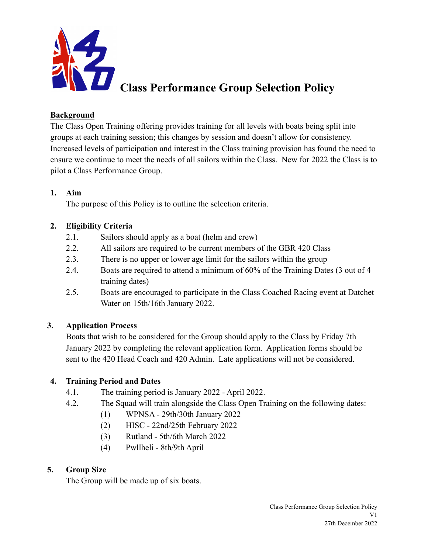

# **Class Performance Group Selection Policy**

#### **Background**

The Class Open Training offering provides training for all levels with boats being split into groups at each training session; this changes by session and doesn't allow for consistency. Increased levels of participation and interest in the Class training provision has found the need to ensure we continue to meet the needs of all sailors within the Class. New for 2022 the Class is to pilot a Class Performance Group.

#### **1. Aim**

The purpose of this Policy is to outline the selection criteria.

# **2. Eligibility Criteria**

- 2.1. Sailors should apply as a boat (helm and crew)
- 2.2. All sailors are required to be current members of the GBR 420 Class
- 2.3. There is no upper or lower age limit for the sailors within the group
- 2.4. Boats are required to attend a minimum of 60% of the Training Dates (3 out of 4 training dates)
- 2.5. Boats are encouraged to participate in the Class Coached Racing event at Datchet Water on 15th/16th January 2022.

# **3. Application Process**

Boats that wish to be considered for the Group should apply to the Class by Friday 7th January 2022 by completing the relevant application form. Application forms should be sent to the 420 Head Coach and 420 Admin. Late applications will not be considered.

# **4. Training Period and Dates**

- 4.1. The training period is January 2022 April 2022.
- 4.2. The Squad will train alongside the Class Open Training on the following dates:
	- (1) WPNSA 29th/30th January 2022
	- (2) HISC 22nd/25th February 2022
	- (3) Rutland 5th/6th March 2022
	- (4) Pwllheli 8th/9th April

# **5. Group Size**

The Group will be made up of six boats.